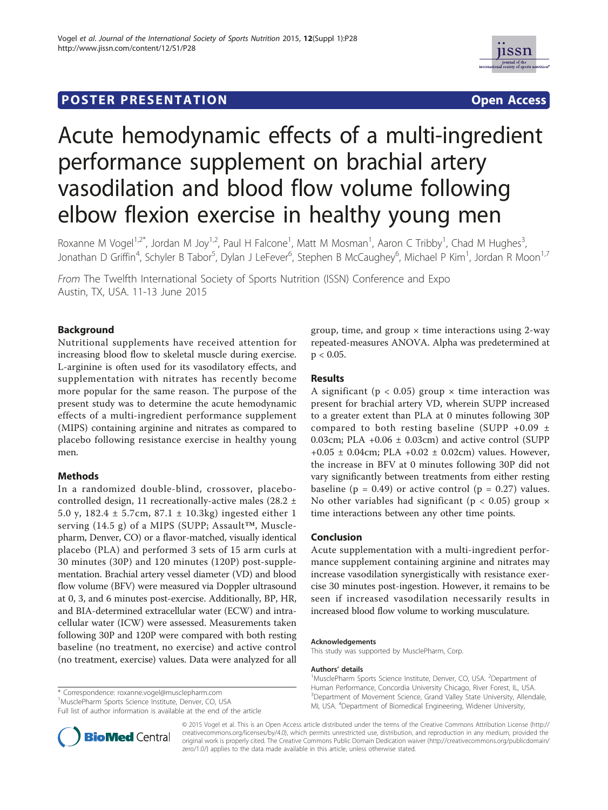# **POSTER PRESENTATION CONSUMING THE SERVICE SERVICE SERVICES**



# Acute hemodynamic effects of a multi-ingredient performance supplement on brachial artery vasodilation and blood flow volume following elbow flexion exercise in healthy young men

Roxanne M Vogel<sup>1,2\*</sup>, Jordan M Joy<sup>1,2</sup>, Paul H Falcone<sup>1</sup>, Matt M Mosman<sup>1</sup>, Aaron C Tribby<sup>1</sup>, Chad M Hughes<sup>3</sup> , Jonathan D Griffin<sup>4</sup>, Schyler B Tabor<sup>5</sup>, Dylan J LeFever<sup>6</sup>, Stephen B McCaughey<sup>6</sup>, Michael P Kim<sup>1</sup>, Jordan R Moon<sup>1,7</sup>

From The Twelfth International Society of Sports Nutrition (ISSN) Conference and Expo Austin, TX, USA. 11-13 June 2015

## Background

Nutritional supplements have received attention for increasing blood flow to skeletal muscle during exercise. L-arginine is often used for its vasodilatory effects, and supplementation with nitrates has recently become more popular for the same reason. The purpose of the present study was to determine the acute hemodynamic effects of a multi-ingredient performance supplement (MIPS) containing arginine and nitrates as compared to placebo following resistance exercise in healthy young men.

#### **Methods**

In a randomized double-blind, crossover, placebocontrolled design, 11 recreationally-active males (28.2 ± 5.0 y, 182.4 ± 5.7cm, 87.1 ± 10.3kg) ingested either 1 serving (14.5 g) of a MIPS (SUPP; Assault™, Musclepharm, Denver, CO) or a flavor-matched, visually identical placebo (PLA) and performed 3 sets of 15 arm curls at 30 minutes (30P) and 120 minutes (120P) post-supplementation. Brachial artery vessel diameter (VD) and blood flow volume (BFV) were measured via Doppler ultrasound at 0, 3, and 6 minutes post-exercise. Additionally, BP, HR, and BIA-determined extracellular water (ECW) and intracellular water (ICW) were assessed. Measurements taken following 30P and 120P were compared with both resting baseline (no treatment, no exercise) and active control (no treatment, exercise) values. Data were analyzed for all

\* Correspondence: roxanne.vogel@musclepharm.com

Full list of author information is available at the end of the article

group, time, and group  $\times$  time interactions using 2-way repeated-measures ANOVA. Alpha was predetermined at  $p < 0.05$ .

### Results

A significant ( $p < 0.05$ ) group  $\times$  time interaction was present for brachial artery VD, wherein SUPP increased to a greater extent than PLA at 0 minutes following 30P compared to both resting baseline (SUPP +0.09  $\pm$ 0.03cm; PLA +0.06  $\pm$  0.03cm) and active control (SUPP  $+0.05 \pm 0.04$ cm; PLA  $+0.02 \pm 0.02$ cm) values. However, the increase in BFV at 0 minutes following 30P did not vary significantly between treatments from either resting baseline ( $p = 0.49$ ) or active control ( $p = 0.27$ ) values. No other variables had significant ( $p < 0.05$ ) group  $\times$ time interactions between any other time points.

#### Conclusion

Acute supplementation with a multi-ingredient performance supplement containing arginine and nitrates may increase vasodilation synergistically with resistance exercise 30 minutes post-ingestion. However, it remains to be seen if increased vasodilation necessarily results in increased blood flow volume to working musculature.

#### Acknowledgements

This study was supported by MusclePharm, Corp.

#### Authors' details <sup>1</sup>

MusclePharm Sports Science Institute, Denver, CO, USA. <sup>2</sup>Department of Human Performance, Concordia University Chicago, River Forest, IL, USA. <sup>3</sup>Department of Movement Science, Grand Valley State University, Allendale MI, USA. <sup>4</sup> Department of Biomedical Engineering, Widener University,



© 2015 Vogel et al. This is an Open Access article distributed under the terms of the Creative Commons Attribution License (http:// creativecommons.org/licenses/by/4.0), which permits unrestricted use, distribution, and reproduction in any medium, provided the original work is properly cited. The Creative Commons Public Domain Dedication waiver (http://creativecommons.org/publicdomain/ zero/1.0/) applies to the data made available in this article, unless otherwise stated.

<sup>1</sup> MusclePharm Sports Science Institute, Denver, CO, USA